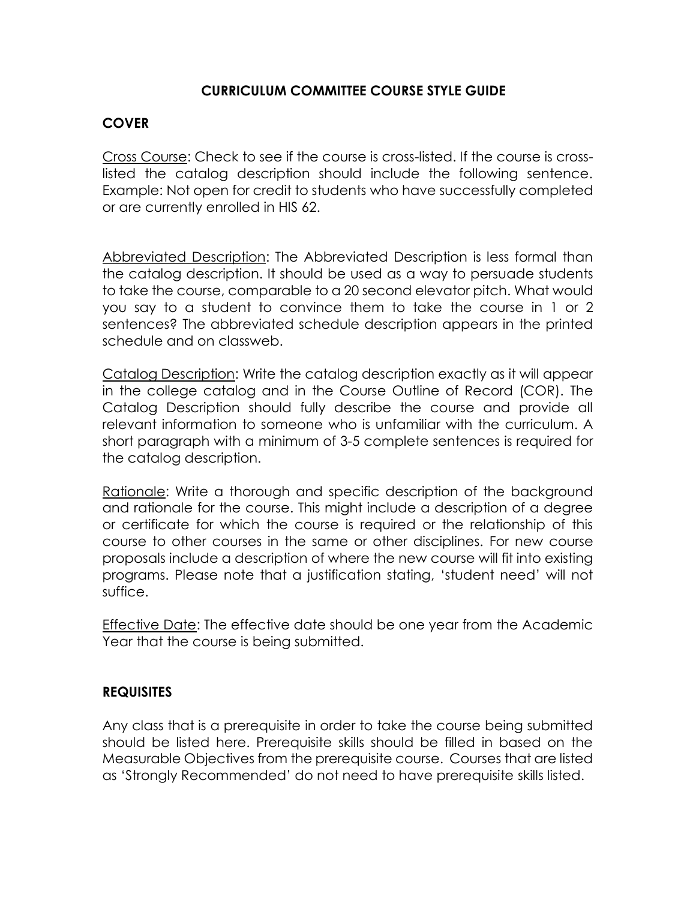### **CURRICULUM COMMITTEE COURSE STYLE GUIDE**

### **COVER**

Cross Course: Check to see if the course is cross-listed. If the course is crosslisted the catalog description should include the following sentence. Example: Not open for credit to students who have successfully completed or are currently enrolled in HIS 62.

Abbreviated Description: The Abbreviated Description is less formal than the catalog description. It should be used as a way to persuade students to take the course, comparable to a 20 second elevator pitch. What would you say to a student to convince them to take the course in 1 or 2 sentences? The abbreviated schedule description appears in the printed schedule and on classweb.

Catalog Description: Write the catalog description exactly as it will appear in the college catalog and in the Course Outline of Record (COR). The Catalog Description should fully describe the course and provide all relevant information to someone who is unfamiliar with the curriculum. A short paragraph with a minimum of 3-5 complete sentences is required for the catalog description.

Rationale: Write a thorough and specific description of the background and rationale for the course. This might include a description of a degree or certificate for which the course is required or the relationship of this course to other courses in the same or other disciplines. For new course proposals include a description of where the new course will fit into existing programs. Please note that a justification stating, 'student need' will not suffice.

Effective Date: The effective date should be one year from the Academic Year that the course is being submitted.

# **REQUISITES**

Any class that is a prerequisite in order to take the course being submitted should be listed here. Prerequisite skills should be filled in based on the Measurable Objectives from the prerequisite course. Courses that are listed as 'Strongly Recommended' do not need to have prerequisite skills listed.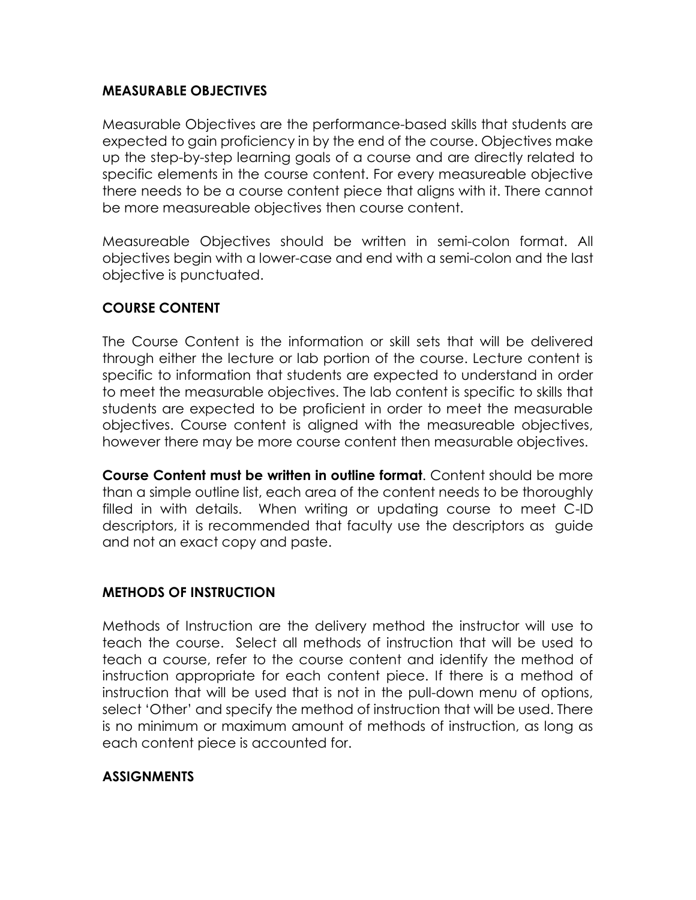### **MEASURABLE OBJECTIVES**

Measurable Objectives are the performance-based skills that students are expected to gain proficiency in by the end of the course. Objectives make up the step-by-step learning goals of a course and are directly related to specific elements in the course content. For every measureable objective there needs to be a course content piece that aligns with it. There cannot be more measureable objectives then course content.

Measureable Objectives should be written in semi-colon format. All objectives begin with a lower-case and end with a semi-colon and the last objective is punctuated.

### **COURSE CONTENT**

The Course Content is the information or skill sets that will be delivered through either the lecture or lab portion of the course. Lecture content is specific to information that students are expected to understand in order to meet the measurable objectives. The lab content is specific to skills that students are expected to be proficient in order to meet the measurable objectives. Course content is aligned with the measureable objectives, however there may be more course content then measurable objectives.

**Course Content must be written in outline format**. Content should be more than a simple outline list, each area of the content needs to be thoroughly filled in with details. When writing or updating course to meet C-ID descriptors, it is recommended that faculty use the descriptors as guide and not an exact copy and paste.

### **METHODS OF INSTRUCTION**

Methods of Instruction are the delivery method the instructor will use to teach the course. Select all methods of instruction that will be used to teach a course, refer to the course content and identify the method of instruction appropriate for each content piece. If there is a method of instruction that will be used that is not in the pull-down menu of options, select 'Other' and specify the method of instruction that will be used. There is no minimum or maximum amount of methods of instruction, as long as each content piece is accounted for.

### **ASSIGNMENTS**